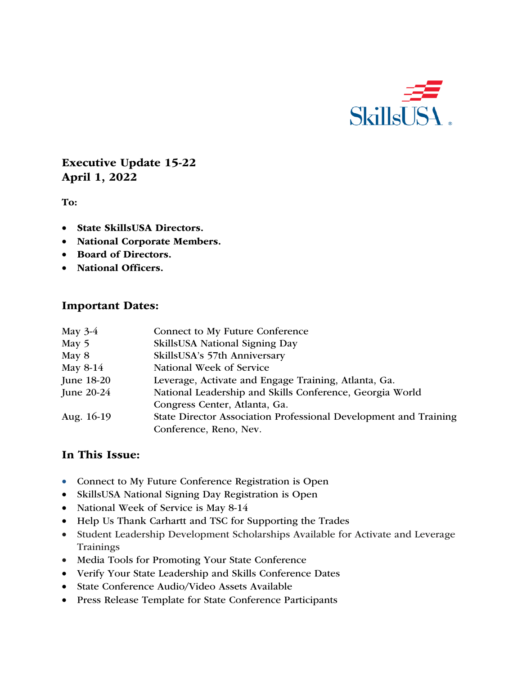

## Executive Update 15-22 April 1, 2022

To:

- State SkillsUSA Directors.
- National Corporate Members.
- Board of Directors.
- National Officers.

#### Important Dates:

| May $3-4$    | Connect to My Future Conference                                  |
|--------------|------------------------------------------------------------------|
| May 5        | SkillsUSA National Signing Day                                   |
| May 8        | SkillsUSA's 57th Anniversary                                     |
| May 8-14     | National Week of Service                                         |
| June 18-20   | Leverage, Activate and Engage Training, Atlanta, Ga.             |
| June $20-24$ | National Leadership and Skills Conference, Georgia World         |
|              | Congress Center, Atlanta, Ga.                                    |
| Aug. 16-19   | State Director Association Professional Development and Training |
|              | Conference, Reno, Nev.                                           |

#### In This Issue:

- Connect to My Future Conference Registration is Open
- SkillsUSA National Signing Day Registration is Open
- National Week of Service is May 8-14
- Help Us Thank Carhartt and TSC for Supporting the Trades
- Student Leadership Development Scholarships Available for Activate and Leverage Trainings
- Media Tools for Promoting Your State Conference
- Verify Your State Leadership and Skills Conference Dates
- State Conference Audio/Video Assets Available
- Press Release Template for State Conference Participants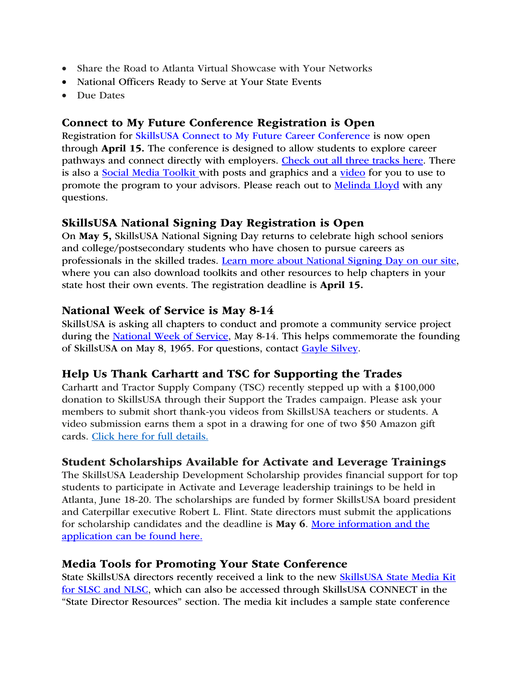- Share the Road to Atlanta Virtual Showcase with Your Networks
- National Officers Ready to Serve at Your State Events
- Due Dates

### Connect to My Future Conference Registration is Open

Registration for SkillsUSA Connect to My Future Career Conference is now open through April 15. The conference is designed to allow students to explore career pathways and connect directly with employers. Check out all three tracks here. There is also a **Social Media Toolkit** with posts and graphics and a video for you to use to promote the program to your advisors. Please reach out to **Melinda Lloyd** with any questions.

### SkillsUSA National Signing Day Registration is Open

On May 5, SkillsUSA National Signing Day returns to celebrate high school seniors and college/postsecondary students who have chosen to pursue careers as professionals in the skilled trades. Learn more about National Signing Day on our site, where you can also download toolkits and other resources to help chapters in your state host their own events. The registration deadline is April 15.

### National Week of Service is May 8-14

SkillsUSA is asking all chapters to conduct and promote a community service project during the National Week of Service, May 8-14. This helps commemorate the founding of SkillsUSA on May 8, 1965. For questions, contact Gayle Silvey.

### Help Us Thank Carhartt and TSC for Supporting the Trades

Carhartt and Tractor Supply Company (TSC) recently stepped up with a \$100,000 donation to SkillsUSA through their Support the Trades campaign. Please ask your members to submit short thank-you videos from SkillsUSA teachers or students. A video submission earns them a spot in a drawing for one of two \$50 Amazon gift cards. Click here for full details.

### Student Scholarships Available for Activate and Leverage Trainings

The SkillsUSA Leadership Development Scholarship provides financial support for top students to participate in Activate and Leverage leadership trainings to be held in Atlanta, June 18-20. The scholarships are funded by former SkillsUSA board president and Caterpillar executive Robert L. Flint. State directors must submit the applications for scholarship candidates and the deadline is May 6. More information and the application can be found here.

#### Media Tools for Promoting Your State Conference

State SkillsUSA directors recently received a link to the new SkillsUSA State Media Kit for SLSC and NLSC, which can also be accessed through SkillsUSA CONNECT in the "State Director Resources" section. The media kit includes a sample state conference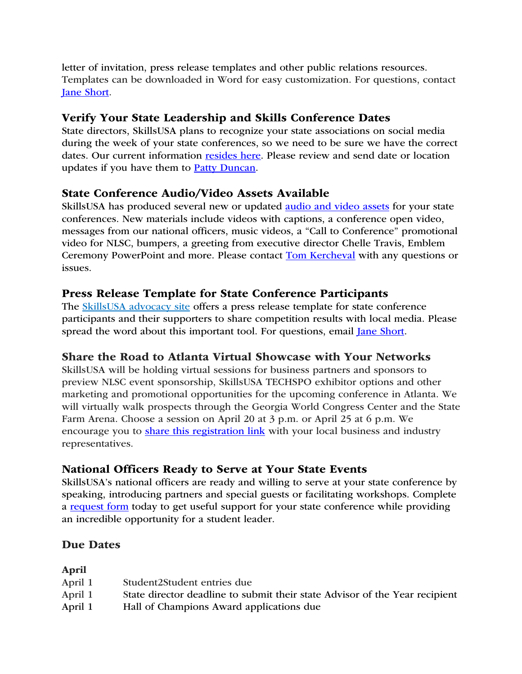letter of invitation, press release templates and other public relations resources. Templates can be downloaded in Word for easy customization. For questions, contact Jane Short.

## Verify Your State Leadership and Skills Conference Dates

State directors, SkillsUSA plans to recognize your state associations on social media during the week of your state conferences, so we need to be sure we have the correct dates. Our current information resides here. Please review and send date or location updates if you have them to **Patty Duncan**.

### State Conference Audio/Video Assets Available

SkillsUSA has produced several new or updated audio and video assets for your state conferences. New materials include videos with captions, a conference open video, messages from our national officers, music videos, a "Call to Conference" promotional video for NLSC, bumpers, a greeting from executive director Chelle Travis, Emblem Ceremony PowerPoint and more. Please contact Tom Kercheval with any questions or issues.

### Press Release Template for State Conference Participants

The SkillsUSA advocacy site offers a press release template for state conference participants and their supporters to share competition results with local media. Please spread the word about this important tool. For questions, email Jane Short.

# Share the Road to Atlanta Virtual Showcase with Your Networks

SkillsUSA will be holding virtual sessions for business partners and sponsors to preview NLSC event sponsorship, SkillsUSA TECHSPO exhibitor options and other marketing and promotional opportunities for the upcoming conference in Atlanta. We will virtually walk prospects through the Georgia World Congress Center and the State Farm Arena. Choose a session on April 20 at 3 p.m. or April 25 at 6 p.m. We encourage you to share this registration link with your local business and industry representatives.

# National Officers Ready to Serve at Your State Events

SkillsUSA's national officers are ready and willing to serve at your state conference by speaking, introducing partners and special guests or facilitating workshops. Complete a request form today to get useful support for your state conference while providing an incredible opportunity for a student leader.

### Due Dates

#### April

| April 1 | Student2Student entries due                                                 |
|---------|-----------------------------------------------------------------------------|
| April 1 | State director deadline to submit their state Advisor of the Year recipient |
| April 1 | Hall of Champions Award applications due                                    |
|         |                                                                             |